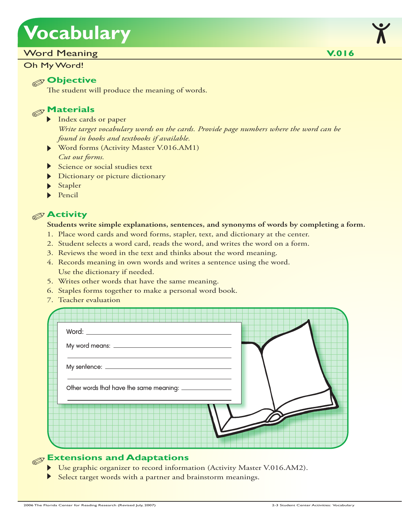# **Vocabulary**

#### Word Meaning

Oh My Word!

#### **Objective**

The student will produce the meaning of words.

## **Materials**

- Index cards or paper *Write target vocabulary words on the cards. Provide page numbers where the word can be found in books and textbooks if available.*
- Word forms (Activity Master V.016.AM1) *Cut out forms.*
- Science or social studies text
- Dictionary or picture dictionary
- **Stapler**
- $\blacktriangleright$  Pencil

#### **Activity**

#### **Students write simple explanations, sentences, and synonyms of words by completing a form.**

- 1. Place word cards and word forms, stapler, text, and dictionary at the center.
- 2. Student selects a word card, reads the word, and writes the word on a form.
- 3. Reviews the word in the text and thinks about the word meaning.
- 4. Records meaning in own words and writes a sentence using the word. Use the dictionary if needed.
- 5. Writes other words that have the same meaning.
- 6. Staples forms together to make a personal word book.
- 7. Teacher evaluation

| Word: $\_\_$ |  |
|--------------|--|
|              |  |
|              |  |
|              |  |
|              |  |
|              |  |

### **Extensions and Adaptations**

- Use graphic organizer to record information (Activity Master V.016.AM2).
- Select target words with a partner and brainstorm meanings.

**V.016**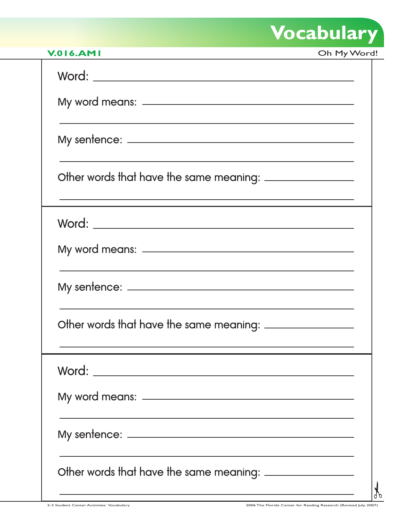# **Vocabulary**

| <b>V.016.AMI</b>                                                                                                                                                              | Oh My Word! |
|-------------------------------------------------------------------------------------------------------------------------------------------------------------------------------|-------------|
| Word:                                                                                                                                                                         |             |
|                                                                                                                                                                               |             |
|                                                                                                                                                                               |             |
| Other words that have the same meaning: _________________<br>and the control of the control of the control of the control of the control of the control of the control of the |             |
|                                                                                                                                                                               |             |
|                                                                                                                                                                               |             |
|                                                                                                                                                                               |             |
|                                                                                                                                                                               |             |
|                                                                                                                                                                               |             |
|                                                                                                                                                                               |             |
|                                                                                                                                                                               |             |
| Other words that have the same meaning: _________________                                                                                                                     |             |
| <u> 1989 - Johann Stein, marwolaethau a bhann an t-Albann an t-Albann an t-Albann an t-Albann an t-Albann an t-Al</u>                                                         |             |